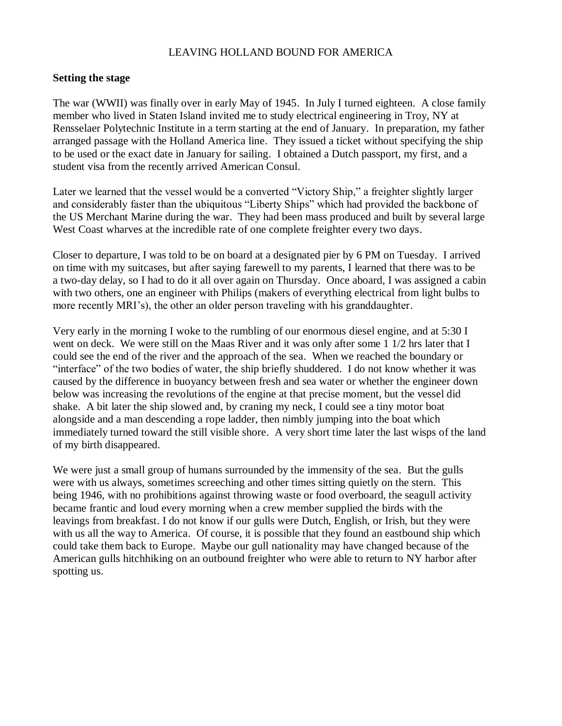## LEAVING HOLLAND BOUND FOR AMERICA

## **Setting the stage**

The war (WWII) was finally over in early May of 1945. In July I turned eighteen. A close family member who lived in Staten Island invited me to study electrical engineering in Troy, NY at Rensselaer Polytechnic Institute in a term starting at the end of January. In preparation, my father arranged passage with the Holland America line. They issued a ticket without specifying the ship to be used or the exact date in January for sailing. I obtained a Dutch passport, my first, and a student visa from the recently arrived American Consul.

Later we learned that the vessel would be a converted "Victory Ship," a freighter slightly larger and considerably faster than the ubiquitous "Liberty Ships" which had provided the backbone of the US Merchant Marine during the war. They had been mass produced and built by several large West Coast wharves at the incredible rate of one complete freighter every two days.

Closer to departure, I was told to be on board at a designated pier by 6 PM on Tuesday. I arrived on time with my suitcases, but after saying farewell to my parents, I learned that there was to be a two-day delay, so I had to do it all over again on Thursday. Once aboard, I was assigned a cabin with two others, one an engineer with Philips (makers of everything electrical from light bulbs to more recently MRI's), the other an older person traveling with his granddaughter.

Very early in the morning I woke to the rumbling of our enormous diesel engine, and at 5:30 I went on deck. We were still on the Maas River and it was only after some 1 1/2 hrs later that I could see the end of the river and the approach of the sea. When we reached the boundary or "interface" of the two bodies of water, the ship briefly shuddered. I do not know whether it was caused by the difference in buoyancy between fresh and sea water or whether the engineer down below was increasing the revolutions of the engine at that precise moment, but the vessel did shake. A bit later the ship slowed and, by craning my neck, I could see a tiny motor boat alongside and a man descending a rope ladder, then nimbly jumping into the boat which immediately turned toward the still visible shore. A very short time later the last wisps of the land of my birth disappeared.

We were just a small group of humans surrounded by the immensity of the sea. But the gulls were with us always, sometimes screeching and other times sitting quietly on the stern. This being 1946, with no prohibitions against throwing waste or food overboard, the seagull activity became frantic and loud every morning when a crew member supplied the birds with the leavings from breakfast. I do not know if our gulls were Dutch, English, or Irish, but they were with us all the way to America. Of course, it is possible that they found an eastbound ship which could take them back to Europe. Maybe our gull nationality may have changed because of the American gulls hitchhiking on an outbound freighter who were able to return to NY harbor after spotting us.